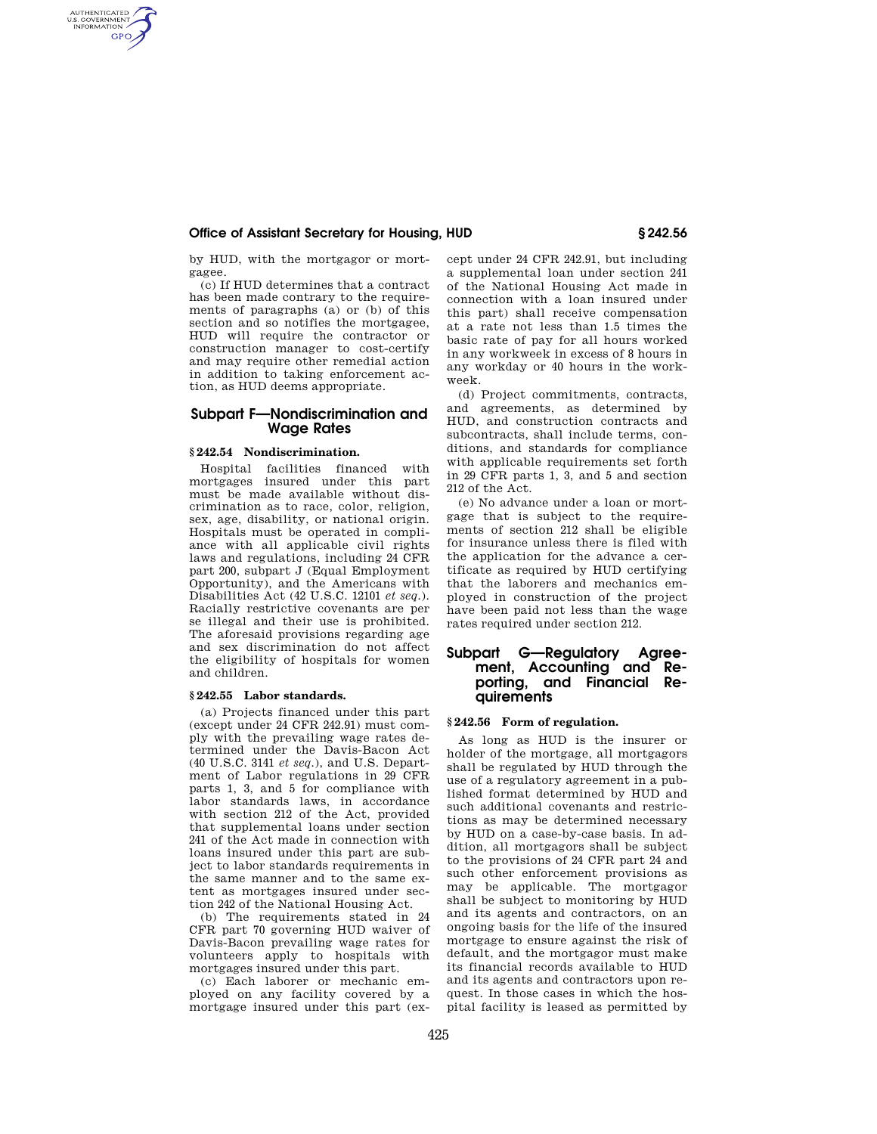# **Office of Assistant Secretary for Housing, HUD § 242.56**

by HUD, with the mortgagor or mortgagee.

(c) If HUD determines that a contract has been made contrary to the requirements of paragraphs (a) or (b) of this section and so notifies the mortgagee, HUD will require the contractor or construction manager to cost-certify and may require other remedial action in addition to taking enforcement action, as HUD deems appropriate.

# **Subpart F—Nondiscrimination and Wage Rates**

#### **§ 242.54 Nondiscrimination.**

AUTHENTICATED<br>U.S. GOVERNMENT<br>INFORMATION **GPO** 

> Hospital facilities financed with mortgages insured under this part must be made available without discrimination as to race, color, religion, sex, age, disability, or national origin. Hospitals must be operated in compliance with all applicable civil rights laws and regulations, including 24 CFR part 200, subpart J (Equal Employment Opportunity), and the Americans with Disabilities Act (42 U.S.C. 12101 *et seq.*). Racially restrictive covenants are per se illegal and their use is prohibited. The aforesaid provisions regarding age and sex discrimination do not affect the eligibility of hospitals for women and children.

#### **§ 242.55 Labor standards.**

(a) Projects financed under this part (except under 24 CFR 242.91) must comply with the prevailing wage rates determined under the Davis-Bacon Act (40 U.S.C. 3141 *et seq.*), and U.S. Department of Labor regulations in 29 CFR parts 1, 3, and 5 for compliance with labor standards laws, in accordance with section 212 of the Act, provided that supplemental loans under section 241 of the Act made in connection with loans insured under this part are subject to labor standards requirements in the same manner and to the same extent as mortgages insured under section 242 of the National Housing Act.

(b) The requirements stated in 24 CFR part 70 governing HUD waiver of Davis-Bacon prevailing wage rates for volunteers apply to hospitals with mortgages insured under this part.

(c) Each laborer or mechanic employed on any facility covered by a mortgage insured under this part (except under 24 CFR 242.91, but including a supplemental loan under section 241 of the National Housing Act made in connection with a loan insured under this part) shall receive compensation at a rate not less than 1.5 times the basic rate of pay for all hours worked in any workweek in excess of 8 hours in any workday or 40 hours in the workweek.

(d) Project commitments, contracts, and agreements, as determined by HUD, and construction contracts and subcontracts, shall include terms, conditions, and standards for compliance with applicable requirements set forth in 29 CFR parts 1, 3, and 5 and section 212 of the Act.

(e) No advance under a loan or mortgage that is subject to the requirements of section 212 shall be eligible for insurance unless there is filed with the application for the advance a certificate as required by HUD certifying that the laborers and mechanics employed in construction of the project have been paid not less than the wage rates required under section 212.

# **Subpart G—Regulatory Agreement, Accounting and Reporting, and Financial Requirements**

## **§ 242.56 Form of regulation.**

As long as HUD is the insurer or holder of the mortgage, all mortgagors shall be regulated by HUD through the use of a regulatory agreement in a published format determined by HUD and such additional covenants and restrictions as may be determined necessary by HUD on a case-by-case basis. In addition, all mortgagors shall be subject to the provisions of 24 CFR part 24 and such other enforcement provisions as may be applicable. The mortgagor shall be subject to monitoring by HUD and its agents and contractors, on an ongoing basis for the life of the insured mortgage to ensure against the risk of default, and the mortgagor must make its financial records available to HUD and its agents and contractors upon request. In those cases in which the hospital facility is leased as permitted by